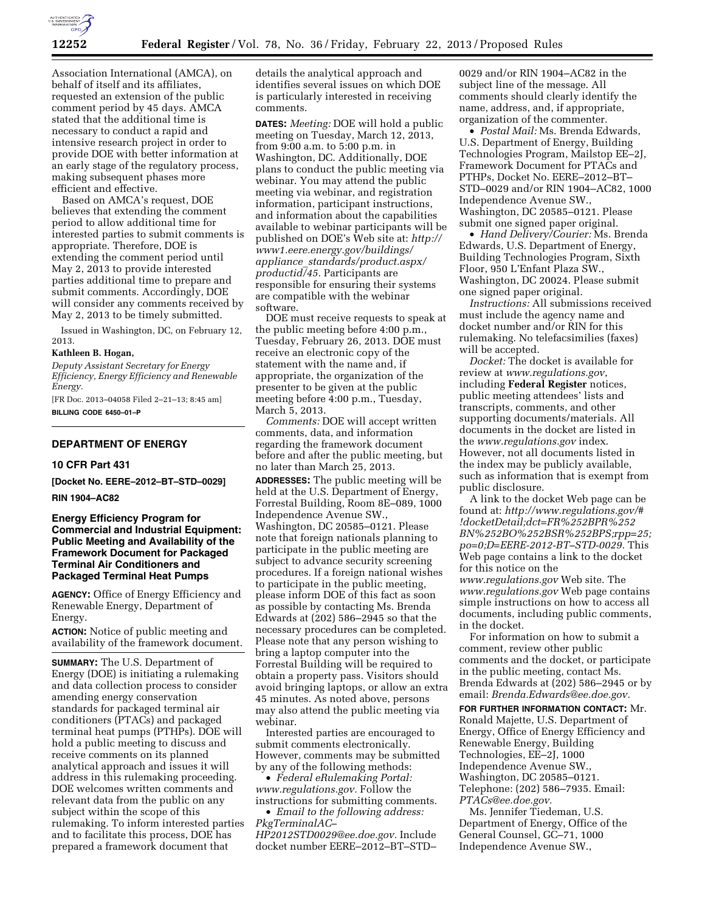

Association International (AMCA), on behalf of itself and its affiliates, requested an extension of the public comment period by 45 days. AMCA stated that the additional time is necessary to conduct a rapid and intensive research project in order to provide DOE with better information at an early stage of the regulatory process, making subsequent phases more efficient and effective.

Based on AMCA's request, DOE believes that extending the comment period to allow additional time for interested parties to submit comments is appropriate. Therefore, DOE is extending the comment period until May 2, 2013 to provide interested parties additional time to prepare and submit comments. Accordingly, DOE will consider any comments received by May 2, 2013 to be timely submitted.

Issued in Washington, DC, on February 12, 2013.

# **Kathleen B. Hogan,**

*Deputy Assistant Secretary for Energy Efficiency, Energy Efficiency and Renewable Energy.* 

[FR Doc. 2013–04058 Filed 2–21–13; 8:45 am] **BILLING CODE 6450–01–P** 

### **DEPARTMENT OF ENERGY**

#### **10 CFR Part 431**

**[Docket No. EERE–2012–BT–STD–0029]** 

**RIN 1904–AC82** 

# **Energy Efficiency Program for Commercial and Industrial Equipment: Public Meeting and Availability of the Framework Document for Packaged Terminal Air Conditioners and Packaged Terminal Heat Pumps**

**AGENCY:** Office of Energy Efficiency and Renewable Energy, Department of Energy.

**ACTION:** Notice of public meeting and availability of the framework document.

**SUMMARY:** The U.S. Department of Energy (DOE) is initiating a rulemaking and data collection process to consider amending energy conservation standards for packaged terminal air conditioners (PTACs) and packaged terminal heat pumps (PTHPs). DOE will hold a public meeting to discuss and receive comments on its planned analytical approach and issues it will address in this rulemaking proceeding. DOE welcomes written comments and relevant data from the public on any subject within the scope of this rulemaking. To inform interested parties and to facilitate this process, DOE has prepared a framework document that

details the analytical approach and identifies several issues on which DOE is particularly interested in receiving comments.

**DATES:** *Meeting:* DOE will hold a public meeting on Tuesday, March 12, 2013, from 9:00 a.m. to 5:00 p.m. in Washington, DC. Additionally, DOE plans to conduct the public meeting via webinar. You may attend the public meeting via webinar, and registration information, participant instructions, and information about the capabilities available to webinar participants will be published on DOE's Web site at: *[http://](http://www1.eere.energy.gov/buildings/appliance_standards/product.aspx/productid/45) [www1.eere.energy.gov/buildings/](http://www1.eere.energy.gov/buildings/appliance_standards/product.aspx/productid/45) appliance*\_*[standards/product.aspx/](http://www1.eere.energy.gov/buildings/appliance_standards/product.aspx/productid/45) [productid/45.](http://www1.eere.energy.gov/buildings/appliance_standards/product.aspx/productid/45)* Participants are responsible for ensuring their systems are compatible with the webinar software.

DOE must receive requests to speak at the public meeting before 4:00 p.m., Tuesday, February 26, 2013. DOE must receive an electronic copy of the statement with the name and, if appropriate, the organization of the presenter to be given at the public meeting before 4:00 p.m., Tuesday, March 5, 2013.

*Comments:* DOE will accept written comments, data, and information regarding the framework document before and after the public meeting, but no later than March 25, 2013.

**ADDRESSES:** The public meeting will be held at the U.S. Department of Energy, Forrestal Building, Room 8E–089, 1000 Independence Avenue SW., Washington, DC 20585–0121. Please note that foreign nationals planning to participate in the public meeting are subject to advance security screening procedures. If a foreign national wishes to participate in the public meeting, please inform DOE of this fact as soon as possible by contacting Ms. Brenda Edwards at (202) 586–2945 so that the necessary procedures can be completed. Please note that any person wishing to bring a laptop computer into the Forrestal Building will be required to obtain a property pass. Visitors should avoid bringing laptops, or allow an extra 45 minutes. As noted above, persons may also attend the public meeting via webinar.

Interested parties are encouraged to submit comments electronically. However, comments may be submitted by any of the following methods:

• *Federal eRulemaking Portal: [www.regulations.gov.](http://www.regulations.gov)* Follow the instructions for submitting comments.

• *Email to the following address: [PkgTerminalAC–](mailto:PkgTerminalAC-HP2012STD0029@ee.doe.gov)  [HP2012STD0029@ee.doe.gov.](mailto:PkgTerminalAC-HP2012STD0029@ee.doe.gov)* Include

docket number EERE–2012–BT–STD–

0029 and/or RIN 1904–AC82 in the subject line of the message. All comments should clearly identify the name, address, and, if appropriate, organization of the commenter.

• *Postal Mail:* Ms. Brenda Edwards, U.S. Department of Energy, Building Technologies Program, Mailstop EE–2J, Framework Document for PTACs and PTHPs, Docket No. EERE–2012–BT– STD–0029 and/or RIN 1904–AC82, 1000 Independence Avenue SW., Washington, DC 20585–0121. Please submit one signed paper original.

• *Hand Delivery/Courier:* Ms. Brenda Edwards, U.S. Department of Energy, Building Technologies Program, Sixth Floor, 950 L'Enfant Plaza SW., Washington, DC 20024. Please submit one signed paper original.

*Instructions:* All submissions received must include the agency name and docket number and/or RIN for this rulemaking. No telefacsimilies (faxes) will be accepted.

*Docket:* The docket is available for review at *[www.regulations.gov](http://www.regulations.gov)*, including **Federal Register** notices, public meeting attendees' lists and transcripts, comments, and other supporting documents/materials. All documents in the docket are listed in the *[www.regulations.gov](http://www.regulations.gov)* index. However, not all documents listed in the index may be publicly available, such as information that is exempt from public disclosure.

A link to the docket Web page can be found at: *[http://www.regulations.gov/#](http://www.regulations.gov/#!docketDetail) [!docketDetail;d](http://www.regulations.gov/#!docketDetail)ct=FR%252BPR%252 BN%252BO%252BSR%252BPS;rpp=25; po=0;D=EERE-2012-BT–STD-0029.* This Web page contains a link to the docket for this notice on the *[www.regulations.gov](http://www.regulations.gov)* Web site. The *[www.regulations.gov](http://www.regulations.gov)* Web page contains simple instructions on how to access all documents, including public comments, in the docket.

For information on how to submit a comment, review other public comments and the docket, or participate in the public meeting, contact Ms. Brenda Edwards at (202) 586–2945 or by email: *[Brenda.Edwards@ee.doe.gov.](mailto:Brenda.Edwards@ee.doe.gov)* 

**FOR FURTHER INFORMATION CONTACT:** Mr. Ronald Majette, U.S. Department of Energy, Office of Energy Efficiency and Renewable Energy, Building Technologies, EE–2J, 1000 Independence Avenue SW., Washington, DC 20585–0121. Telephone: (202) 586–7935. Email: *[PTACs@ee.doe.gov.](mailto:PTACs@ee.doe.gov)* 

Ms. Jennifer Tiedeman, U.S. Department of Energy, Office of the General Counsel, GC–71, 1000 Independence Avenue SW.,